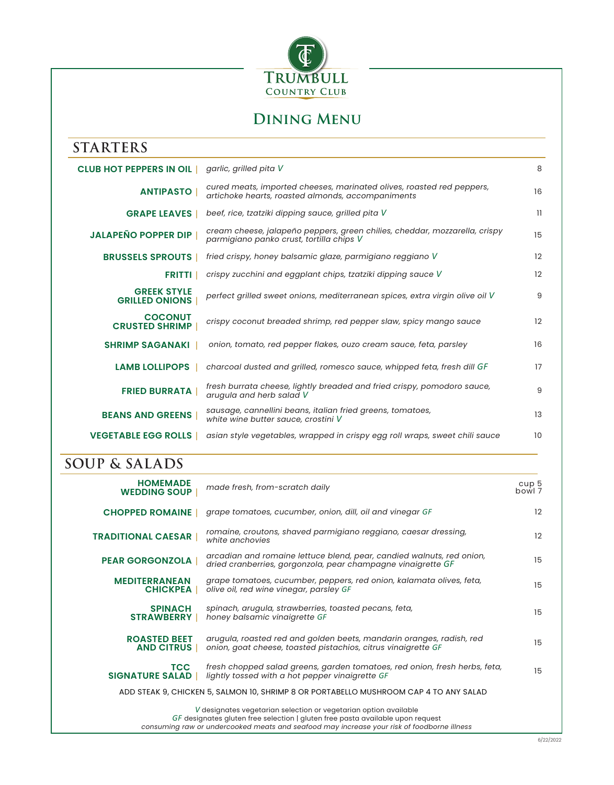

## **Dining Menu**

| <b>STARTERS</b>                             |                                                                                                                            |              |
|---------------------------------------------|----------------------------------------------------------------------------------------------------------------------------|--------------|
| <b>CLUB HOT PEPPERS IN OIL</b>              | garlic, grilled pita V                                                                                                     | 8            |
| <b>ANTIPASTO</b>                            | cured meats, imported cheeses, marinated olives, roasted red peppers,<br>artichoke hearts, roasted almonds, accompaniments | 16           |
| <b>GRAPE LEAVES</b>                         | beef, rice, tzatziki dipping sauce, grilled pita V                                                                         | $\mathbf{1}$ |
| <b>JALAPEÑO POPPER DIP</b>                  | cream cheese, jalapeño peppers, green chilies, cheddar, mozzarella, crispy<br>parmigiano panko crust, tortilla chips V     | 15           |
| <b>BRUSSELS SPROUTS</b>                     | fried crispy, honey balsamic glaze, parmigiano reggiano V                                                                  | 12           |
| <b>FRITTI</b>                               | crispy zucchini and eggplant chips, tzatziki dipping sauce V                                                               | 12           |
| <b>GREEK STYLE</b><br><b>GRILLED ONIONS</b> | perfect grilled sweet onions, mediterranean spices, extra virgin olive oil V                                               | 9            |
| <b>COCONUT</b><br><b>CRUSTED SHRIMP</b>     | crispy coconut breaded shrimp, red pepper slaw, spicy mango sauce                                                          | 12           |
| <b>SHRIMP SAGANAKI</b>                      | onion, tomato, red pepper flakes, ouzo cream sauce, feta, parsley                                                          | 16           |
| <b>LAMB LOLLIPOPS</b>                       | charcoal dusted and grilled, romesco sauce, whipped feta, fresh dill GF                                                    | 17           |
| <b>FRIED BURRATA</b>                        | fresh burrata cheese, lightly breaded and fried crispy, pomodoro sauce,<br>arugula and herb salad V                        | 9            |
| <b>BEANS AND GREENS</b>                     | sausage, cannellini beans, italian fried greens, tomatoes,<br>white wine butter sauce, crostini V                          | 13           |
| <b>VEGETABLE EGG ROLLS</b>                  | asian style vegetables, wrapped in crispy egg roll wraps, sweet chili sauce                                                | 10           |

## **SOUP & SALADS**

| <b>HOMEMADE</b><br><b>WEDDING SOUP</b>   | made fresh, from-scratch daily                                                                                                                                                                                                                   | cup 5<br>bowl 7 |
|------------------------------------------|--------------------------------------------------------------------------------------------------------------------------------------------------------------------------------------------------------------------------------------------------|-----------------|
| <b>CHOPPED ROMAINE</b>                   | grape tomatoes, cucumber, onion, dill, oil and vinegar GF                                                                                                                                                                                        | 12              |
| <b>TRADITIONAL CAESAR</b>                | romaine, croutons, shaved parmigiano reggiano, caesar dressing,<br>white anchovies                                                                                                                                                               | 12              |
| <b>PEAR GORGONZOLA</b>                   | arcadian and romaine lettuce blend, pear, candied walnuts, red onion,<br>dried cranberries, gorgonzola, pear champagne vinaigrette GF                                                                                                            | 15              |
| <b>MEDITERRANEAN</b><br><b>CHICKPEA</b>  | grape tomatoes, cucumber, peppers, red onion, kalamata olives, feta,<br>olive oil, red wine vinegar, parsley GF                                                                                                                                  | 15              |
| <b>SPINACH</b><br><b>STRAWBERRY</b>      | spinach, arugula, strawberries, toasted pecans, feta,<br>honey balsamic vinaigrette GF                                                                                                                                                           | 15              |
| <b>ROASTED BEET</b><br><b>AND CITRUS</b> | arugula, roasted red and golden beets, mandarin oranges, radish, red<br>onion, goat cheese, toasted pistachios, citrus vinaigrette GF                                                                                                            | 15              |
| <b>TCC</b><br><b>SIGNATURE SALAD  </b>   | fresh chopped salad greens, garden tomatoes, red onion, fresh herbs, feta,<br>lightly tossed with a hot pepper vinaigrette GF                                                                                                                    | 15              |
|                                          | ADD STEAK 9, CHICKEN 5, SALMON 10, SHRIMP 8 OR PORTABELLO MUSHROOM CAP 4 TO ANY SALAD                                                                                                                                                            |                 |
|                                          | V designates vegetarian selection or vegetarian option available<br>GF designates gluten free selection   gluten free pasta available upon request<br>consuming raw or undercooked meats and seafood may increase your risk of foodborne illness |                 |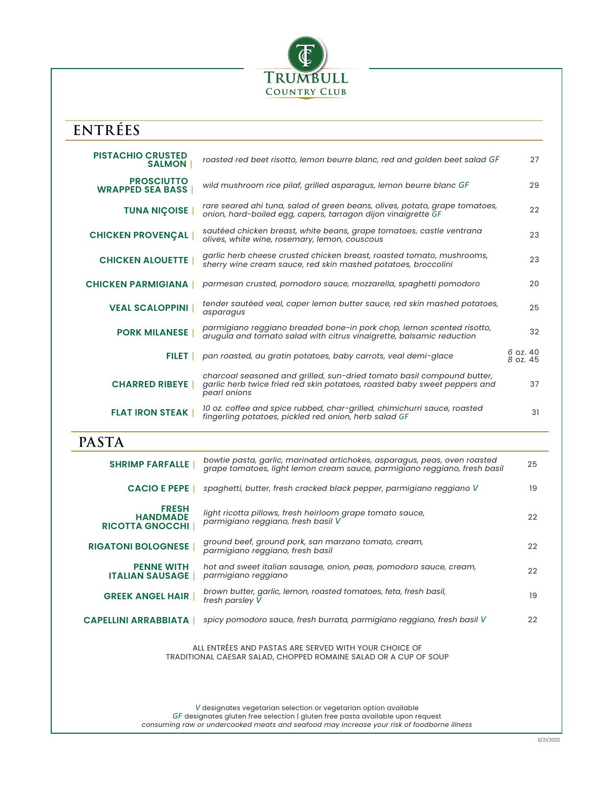

## **ENTRÉES**

| <b>PISTACHIO CRUSTED</b><br><b>SALMON</b>                 | roasted red beet risotto, lemon beurre blanc, red and golden beet salad GF                                                                                          | 27                   |
|-----------------------------------------------------------|---------------------------------------------------------------------------------------------------------------------------------------------------------------------|----------------------|
| <b>PROSCIUTTO</b><br><b>WRAPPED SEA BASS</b>              | wild mushroom rice pilaf, grilled asparagus, lemon beurre blanc GF                                                                                                  | 29                   |
| <b>TUNA NIÇOISE</b>                                       | rare seared ahi tuna, salad of green beans, olives, potato, grape tomatoes,<br>onion, hard-boiled egg, capers, tarragon dijon vinaigrette GF                        | 22                   |
| <b>CHICKEN PROVENÇAL</b>                                  | sautéed chicken breast, white beans, grape tomatoes, castle ventrana<br>olives, white wine, rosemary, lemon, couscous                                               | 23                   |
| <b>CHICKEN ALOUETTE</b>                                   | garlic herb cheese crusted chicken breast, roasted tomato, mushrooms,<br>sherry wine cream sauce, red skin mashed potatoes, broccolini                              | 23                   |
| <b>CHICKEN PARMIGIANA</b>                                 | parmesan crusted, pomodoro sauce, mozzarella, spaghetti pomodoro                                                                                                    | 20                   |
| <b>VEAL SCALOPPINI</b>                                    | tender sautéed veal, caper lemon butter sauce, red skin mashed potatoes,<br>asparagus                                                                               | 25                   |
| <b>PORK MILANESE</b>                                      | parmigiano reggiano breaded bone-in pork chop, lemon scented risotto,<br>arugula and tomato salad with citrus vinaigrette, balsamic reduction                       | 32                   |
| <b>FILET I</b>                                            | pan roasted, au gratin potatoes, baby carrots, veal demi-glace                                                                                                      | 6 oz. 40<br>8 oz. 45 |
| <b>CHARRED RIBEYE</b>                                     | charcoal seasoned and grilled, sun-dried tomato basil compound butter,<br>garlic herb twice fried red skin potatoes, roasted baby sweet peppers and<br>pearl onions | 37                   |
| <b>FLAT IRON STEAK</b>                                    | 10 oz. coffee and spice rubbed, char-grilled, chimichurri sauce, roasted<br>fingerling potatoes, pickled red onion, herb salad GF                                   | 31                   |
| <b>PASTA</b>                                              |                                                                                                                                                                     |                      |
| <b>SHRIMP FARFALLE</b>                                    | bowtie pasta, garlic, marinated artichokes, asparagus, peas, oven roasted<br>grape tomatoes, light lemon cream sauce, parmigiano reggiano, fresh basil              | 25                   |
| <b>CACIO E PEPE</b>                                       | spaghetti, butter, fresh cracked black pepper, parmigiano reggiano V                                                                                                | 19                   |
| <b>FRESH</b><br><b>HANDMADE</b><br><b>RICOTTA GNOCCHI</b> | light ricotta pillows, fresh heirloom grape tomato sauce,<br>parmigiano reggiano, fresh basil V                                                                     | 22                   |

**RIGATONI BOLOGNESE** | *ground beef, ground pork, san marzano tomato, cream, parmigiano reggiano, fresh basil* <sup>22</sup>  **PENNE WITH ITALIAN SAUSAGE** | *parmigiano reggiano* <sup>22</sup> *hot and sweet italian sausage, onion, peas, pomodoro sauce, cream,*  **GREEK ANGEL HAIR** | *brown butter, garlic, lemon, roasted tomatoes, feta, fresh basil, fresh parsley V* <sup>19</sup> **CAPELLINI ARRABBIATA** | *spicy pomodoro sauce, fresh burrata, parmigiano reggiano, fresh basil V* <sup>22</sup>

> ALL ENTRÉES AND PASTAS ARE SERVED WITH YOUR CHOICE OF TRADITIONAL CAESAR SALAD, CHOPPED ROMAINE SALAD OR A CUP OF SOUP

*V* designates vegetarian selection or vegetarian option available *GF* designates gluten free selection | gluten free pasta available upon request *consuming raw or undercooked meats and seafood may increase your risk of foodborne illness*